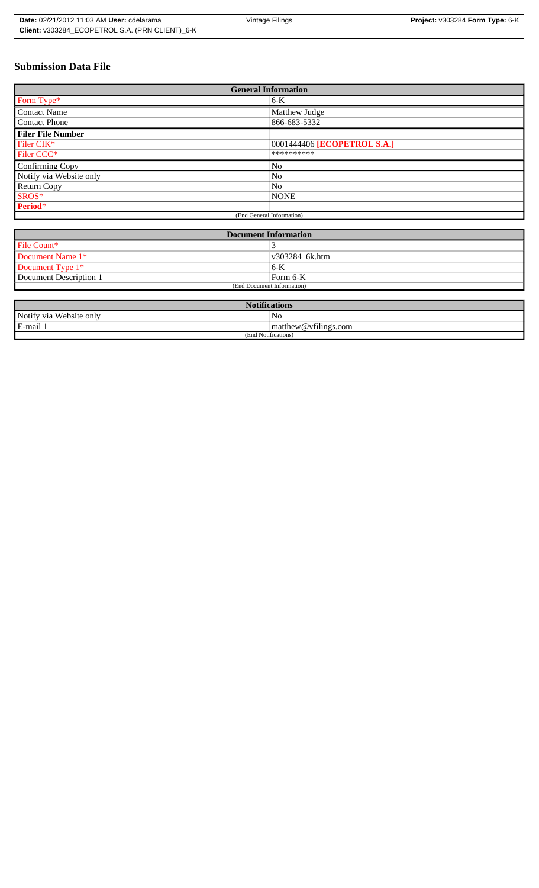# **Submission Data File**

| <b>General Information</b> |                             |
|----------------------------|-----------------------------|
| Form Type*                 | $6-K$                       |
| <b>Contact Name</b>        | Matthew Judge               |
| <b>Contact Phone</b>       | 866-683-5332                |
| <b>Filer File Number</b>   |                             |
| Filer CIK*                 | 0001444406 [ECOPETROL S.A.] |
| Filer CCC*                 | **********                  |
| Confirming Copy            | N <sub>0</sub>              |
| Notify via Website only    | No                          |
| Return Copy                | N <sub>0</sub>              |
| SROS*                      | <b>NONE</b>                 |
| Period*                    |                             |
| (End General Information)  |                             |

| <b>Document Information</b> |                |
|-----------------------------|----------------|
| File Count*                 |                |
| Document Name 1*            | v303284 6k.htm |
| Document Type 1*            | 6-K            |
| Document Description 1      | l Form 6-K     |
| (End Document Information)  |                |

| <b>Notifications</b>       |                               |  |
|----------------------------|-------------------------------|--|
| Website only<br>Notify via | NG.                           |  |
| E-mail<br>Iп.              | $C+1$<br>matthew@vfilings.com |  |
| (End Notifications)        |                               |  |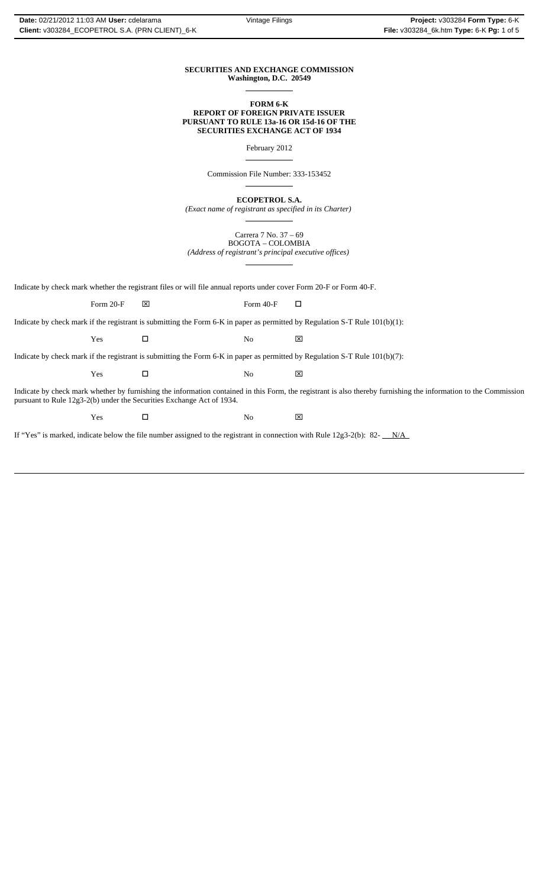## **SECURITIES AND EXCHANGE COMMISSION Washington, D.C. 20549**

 $\overline{a}$ 

 $\overline{a}$ 

 $\overline{a}$ 

 $\overline{a}$ 

#### **FORM 6-K REPORT OF FOREIGN PRIVATE ISSUER PURSUANT TO RULE 13a-16 OR 15d-16 OF THE SECURITIES EXCHANGE ACT OF 1934**

February 2012

Commission File Number: 333-153452

**ECOPETROL S.A.**

*(Exact name of registrant as specified in its Charter)*  $\overline{a}$ 

Carrera 7 No. 37 – 69 BOGOTA – COLOMBIA *(Address of registrant's principal executive offices)*

Indicate by check mark whether the registrant files or will file annual reports under cover Form 20-F or Form 40-F.

Form 20-F  $\boxtimes$  Form 40-F  $\Box$ 

Indicate by check mark if the registrant is submitting the Form 6-K in paper as permitted by Regulation S-T Rule 101(b)(1):

 $Yes$   $\Box$  No  $\boxtimes$ 

Indicate by check mark if the registrant is submitting the Form 6-K in paper as permitted by Regulation S-T Rule 101(b)(7):

 $Yes$   $\square$  No  $\boxtimes$ 

Indicate by check mark whether by furnishing the information contained in this Form, the registrant is also thereby furnishing the information to the Commission pursuant to Rule 12g3-2(b) under the Securities Exchange Act of 1934.

 $Yes$   $\square$  No  $\boxtimes$ 

If "Yes" is marked, indicate below the file number assigned to the registrant in connection with Rule 12g3-2(b): 82- $N/A$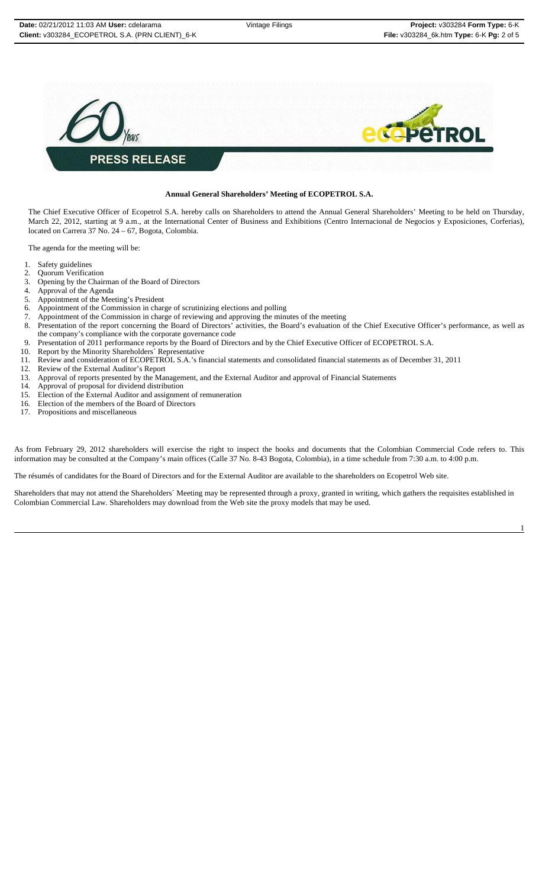

#### **Annual General Shareholders' Meeting of ECOPETROL S.A.**

The Chief Executive Officer of Ecopetrol S.A. hereby calls on Shareholders to attend the Annual General Shareholders' Meeting to be held on Thursday, March 22, 2012, starting at 9 a.m., at the International Center of Business and Exhibitions (Centro Internacional de Negocios y Exposiciones, Corferias), located on Carrera 37 No. 24 – 67, Bogota, Colombia.

The agenda for the meeting will be:

- 1. Safety guidelines
- 2. Quorum Verification
- 3. Opening by the Chairman of the Board of Directors
- 4. Approval of the Agenda<br>5. Appointment of the Mee
- 5. Appointment of the Meeting's President<br>6. Appointment of the Commission in charge
- 6. Appointment of the Commission in charge of scrutinizing elections and polling
- 
- 7. Appointment of the Commission in charge of reviewing and approving the minutes of the meeting 8. Presentation of the report concerning the Board of Directors' activities, the Board's evaluation of Presentation of the report concerning the Board of Directors' activities, the Board's evaluation of the Chief Executive Officer's performance, as well as the company's compliance with the corporate governance code
- 9. Presentation of 2011 performance reports by the Board of Directors and by the Chief Executive Officer of ECOPETROL S.A.
- 10. Report by the Minority Shareholders´ Representative 11. Review and consideration of ECOPETROL S.A.'s firm
- 11. Review and consideration of ECOPETROL S.A.'s financial statements and consolidated financial statements as of December 31, 2011
- 12. Review of the External Auditor's Report
- 13. Approval of reports presented by the Management, and the External Auditor and approval of Financial Statements
- 14. Approval of proposal for dividend distribution
- 15. Election of the External Auditor and assignment of remuneration
- 16. Election of the members of the Board of Directors
- 17. Propositions and miscellaneous

As from February 29, 2012 shareholders will exercise the right to inspect the books and documents that the Colombian Commercial Code refers to. This information may be consulted at the Company's main offices (Calle 37 No. 8-43 Bogota, Colombia), in a time schedule from 7:30 a.m. to 4:00 p.m.

The résumés of candidates for the Board of Directors and for the External Auditor are available to the shareholders on Ecopetrol Web site.

Shareholders that may not attend the Shareholders´ Meeting may be represented through a proxy, granted in writing, which gathers the requisites established in Colombian Commercial Law. Shareholders may download from the Web site the proxy models that may be used.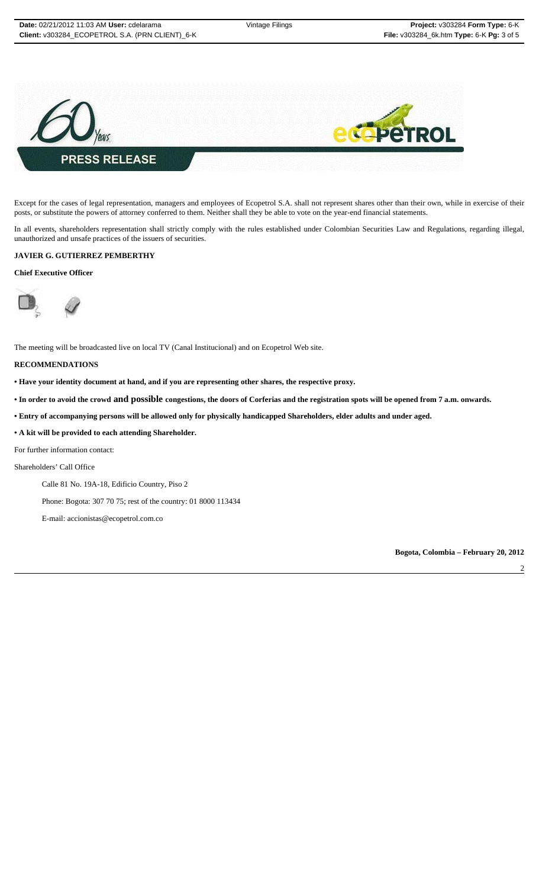

Except for the cases of legal representation, managers and employees of Ecopetrol S.A. shall not represent shares other than their own, while in exercise of their posts, or substitute the powers of attorney conferred to them. Neither shall they be able to vote on the year-end financial statements.

In all events, shareholders representation shall strictly comply with the rules established under Colombian Securities Law and Regulations, regarding illegal, unauthorized and unsafe practices of the issuers of securities.

## **JAVIER G. GUTIERREZ PEMBERTHY**

### **Chief Executive Officer**



The meeting will be broadcasted live on local TV (Canal Institucional) and on Ecopetrol Web site.

#### **RECOMMENDATIONS**

- **Have your identity document at hand, and if you are representing other shares, the respective proxy.**
- **In order to avoid the crowd and possible congestions, the doors of Corferias and the registration spots will be opened from 7 a.m. onwards.**
- **Entry of accompanying persons will be allowed only for physically handicapped Shareholders, elder adults and under aged.**
- **A kit will be provided to each attending Shareholder.**

For further information contact:

Shareholders' Call Office

- Calle 81 No. 19A-18, Edificio Country, Piso 2
- Phone: Bogota: 307 70 75; rest of the country: 01 8000 113434
- E-mail: accionistas@ecopetrol.com.co

**Bogota, Colombia – February 20, 2012**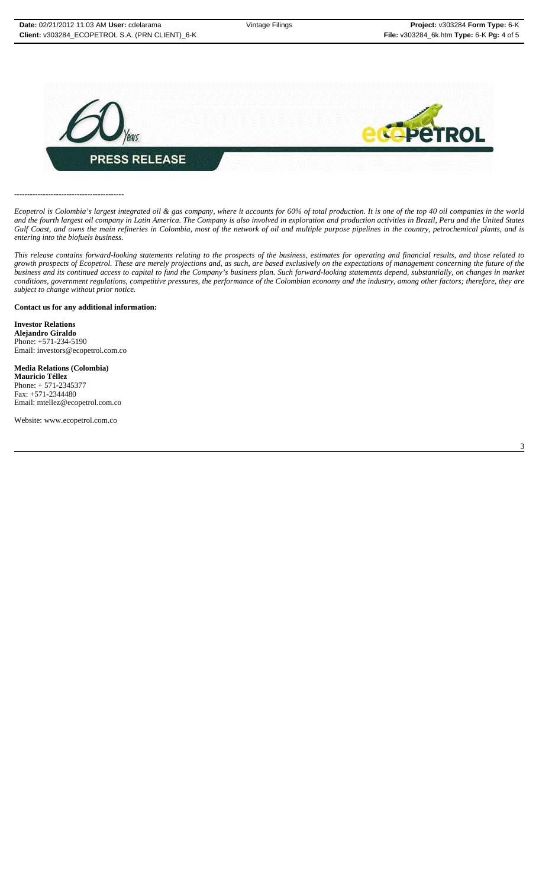3



------------------------------------------

*Ecopetrol is Colombia's largest integrated oil & gas company, where it accounts for 60% of total production. It is one of the top 40 oil companies in the world and the fourth largest oil company in Latin America. The Company is also involved in exploration and production activities in Brazil, Peru and the United States Gulf Coast, and owns the main refineries in Colombia, most of the network of oil and multiple purpose pipelines in the country, petrochemical plants, and is entering into the biofuels business.*

*This release contains forward-looking statements relating to the prospects of the business, estimates for operating and financial results, and those related to growth prospects of Ecopetrol. These are merely projections and, as such, are based exclusively on the expectations of management concerning the future of the business and its continued access to capital to fund the Company's business plan. Such forward-looking statements depend, substantially, on changes in market conditions, government regulations, competitive pressures, the performance of the Colombian economy and the industry, among other factors; therefore, they are subject to change without prior notice.*

#### **Contact us for any additional information:**

**Investor Relations Alejandro Giraldo** Phone: +571-234-5190 Email: investors@ecopetrol.com.co

## **Media Relations (Colombia)**

**Mauricio Téllez** Phone: + 571-2345377 Fax: +571-2344480 Email: mtellez@ecopetrol.com.co

Website: www.ecopetrol.com.co